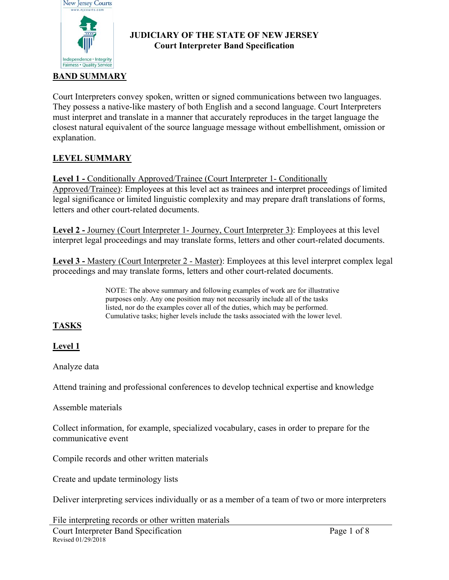

### **JUDICIARY OF THE STATE OF NEW JERSEY Court Interpreter Band Specification**

Court Interpreters convey spoken, written or signed communications between two languages. They possess a native-like mastery of both English and a second language. Court Interpreters must interpret and translate in a manner that accurately reproduces in the target language the closest natural equivalent of the source language message without embellishment, omission or explanation.

## **LEVEL SUMMARY**

**Level 1 -** Conditionally Approved/Trainee (Court Interpreter 1- Conditionally Approved/Trainee): Employees at this level act as trainees and interpret proceedings of limited legal significance or limited linguistic complexity and may prepare draft translations of forms, letters and other court-related documents.

**Level 2 -** Journey (Court Interpreter 1- Journey, Court Interpreter 3): Employees at this level interpret legal proceedings and may translate forms, letters and other court-related documents.

**Level 3 - Mastery (Court Interpreter 2 - Master): Employees at this level interpret complex legal** proceedings and may translate forms, letters and other court-related documents.

> NOTE: The above summary and following examples of work are for illustrative purposes only. Any one position may not necessarily include all of the tasks listed, nor do the examples cover all of the duties, which may be performed. Cumulative tasks; higher levels include the tasks associated with the lower level.

## **TASKS**

## **Level 1**

Analyze data

Attend training and professional conferences to develop technical expertise and knowledge

Assemble materials

Collect information, for example, specialized vocabulary, cases in order to prepare for the communicative event

Compile records and other written materials

Create and update terminology lists

Deliver interpreting services individually or as a member of a team of two or more interpreters

File interpreting records or other written materials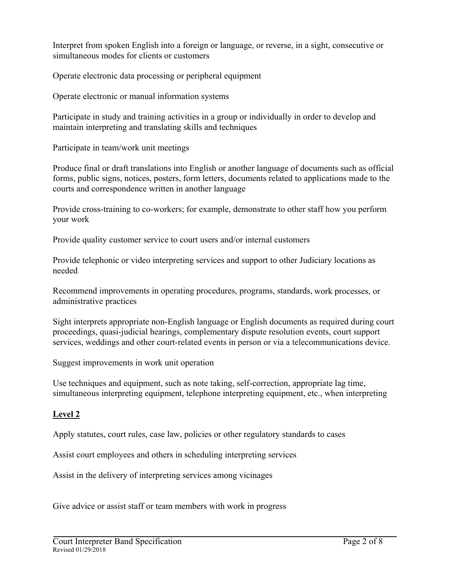Interpret from spoken English into a foreign or language, or reverse, in a sight, consecutive or simultaneous modes for clients or customers

Operate electronic data processing or peripheral equipment

Operate electronic or manual information systems

Participate in study and training activities in a group or individually in order to develop and maintain interpreting and translating skills and techniques

Participate in team/work unit meetings

Produce final or draft translations into English or another language of documents such as official forms, public signs, notices, posters, form letters, documents related to applications made to the courts and correspondence written in another language

Provide cross-training to co-workers; for example, demonstrate to other staff how you perform your work

Provide quality customer service to court users and/or internal customers

Provide telephonic or video interpreting services and support to other Judiciary locations as needed

Recommend improvements in operating procedures, programs, standards, work processes, or administrative practices

Sight interprets appropriate non-English language or English documents as required during court proceedings, quasi-judicial hearings, complementary dispute resolution events, court support services, weddings and other court-related events in person or via a telecommunications device.

Suggest improvements in work unit operation

Use techniques and equipment, such as note taking, self-correction, appropriate lag time, simultaneous interpreting equipment, telephone interpreting equipment, etc., when interpreting

## **Level 2**

Apply statutes, court rules, case law, policies or other regulatory standards to cases

Assist court employees and others in scheduling interpreting services

Assist in the delivery of interpreting services among vicinages

Give advice or assist staff or team members with work in progress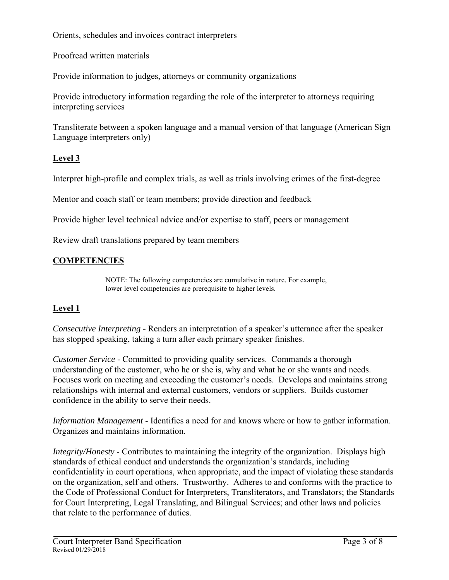Orients, schedules and invoices contract interpreters

Proofread written materials

Provide information to judges, attorneys or community organizations

Provide introductory information regarding the role of the interpreter to attorneys requiring interpreting services

Transliterate between a spoken language and a manual version of that language (American Sign Language interpreters only)

### **Level 3**

Interpret high-profile and complex trials, as well as trials involving crimes of the first-degree

Mentor and coach staff or team members; provide direction and feedback

Provide higher level technical advice and/or expertise to staff, peers or management

Review draft translations prepared by team members

### **COMPETENCIES**

NOTE: The following competencies are cumulative in nature. For example, lower level competencies are prerequisite to higher levels.

### **Level 1**

*Consecutive Interpreting -* Renders an interpretation of a speaker's utterance after the speaker has stopped speaking, taking a turn after each primary speaker finishes.

*Customer Service* - Committed to providing quality services. Commands a thorough understanding of the customer, who he or she is, why and what he or she wants and needs. Focuses work on meeting and exceeding the customer's needs. Develops and maintains strong relationships with internal and external customers, vendors or suppliers. Builds customer confidence in the ability to serve their needs.

*Information Management* - Identifies a need for and knows where or how to gather information. Organizes and maintains information.

*Integrity/Honesty* - Contributes to maintaining the integrity of the organization. Displays high standards of ethical conduct and understands the organization's standards, including confidentiality in court operations, when appropriate, and the impact of violating these standards on the organization, self and others. Trustworthy. Adheres to and conforms with the practice to the Code of Professional Conduct for Interpreters, Transliterators, and Translators; the Standards for Court Interpreting, Legal Translating, and Bilingual Services; and other laws and policies that relate to the performance of duties.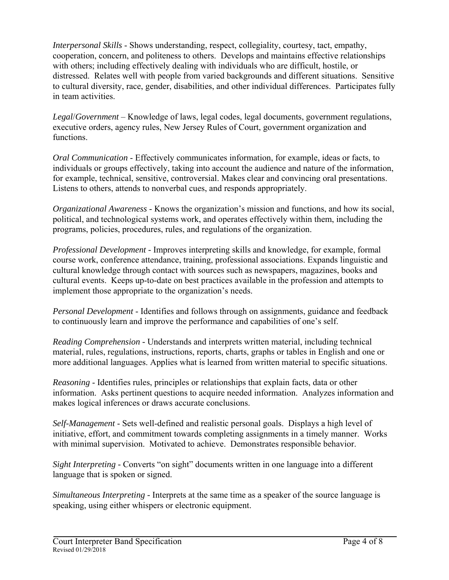*Interpersonal Skills* - Shows understanding, respect, collegiality, courtesy, tact, empathy, cooperation, concern, and politeness to others. Develops and maintains effective relationships with others; including effectively dealing with individuals who are difficult, hostile, or distressed. Relates well with people from varied backgrounds and different situations. Sensitive to cultural diversity, race, gender, disabilities, and other individual differences. Participates fully in team activities.

*Legal*/*Government* – Knowledge of laws, legal codes, legal documents, government regulations, executive orders, agency rules, New Jersey Rules of Court, government organization and functions.

*Oral Communication* - Effectively communicates information, for example, ideas or facts, to individuals or groups effectively, taking into account the audience and nature of the information, for example, technical, sensitive, controversial. Makes clear and convincing oral presentations. Listens to others, attends to nonverbal cues, and responds appropriately.

*Organizational Awareness* - Knows the organization's mission and functions, and how its social, political, and technological systems work, and operates effectively within them, including the programs, policies, procedures, rules, and regulations of the organization.

*Professional Development -* Improves interpreting skills and knowledge, for example, formal course work, conference attendance, training, professional associations. Expands linguistic and cultural knowledge through contact with sources such as newspapers, magazines, books and cultural events. Keeps up-to-date on best practices available in the profession and attempts to implement those appropriate to the organization's needs.

*Personal Development* - Identifies and follows through on assignments, guidance and feedback to continuously learn and improve the performance and capabilities of one's self.

*Reading Comprehension -* Understands and interprets written material, including technical material, rules, regulations, instructions, reports, charts, graphs or tables in English and one or more additional languages. Applies what is learned from written material to specific situations.

*Reasoning* - Identifies rules, principles or relationships that explain facts, data or other information. Asks pertinent questions to acquire needed information. Analyzes information and makes logical inferences or draws accurate conclusions.

*Self-Management* - Sets well-defined and realistic personal goals. Displays a high level of initiative, effort, and commitment towards completing assignments in a timely manner. Works with minimal supervision. Motivated to achieve. Demonstrates responsible behavior.

*Sight Interpreting -* Converts "on sight" documents written in one language into a different language that is spoken or signed.

*Simultaneous Interpreting -* Interprets at the same time as a speaker of the source language is speaking, using either whispers or electronic equipment.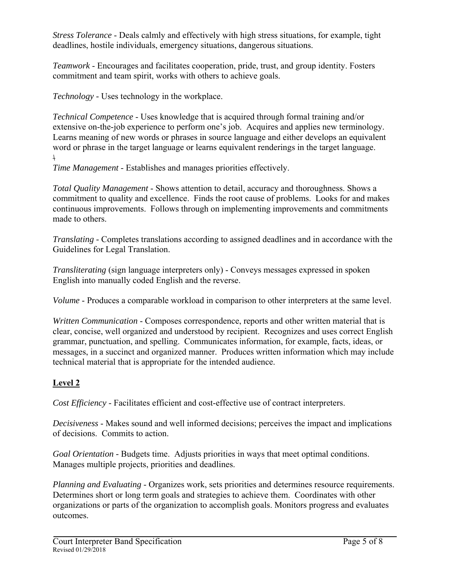*Stress Tolerance* - Deals calmly and effectively with high stress situations, for example, tight deadlines, hostile individuals, emergency situations, dangerous situations.

*Teamwork* - Encourages and facilitates cooperation, pride, trust, and group identity. Fosters commitment and team spirit, works with others to achieve goals.

*Technology -* Uses technology in the workplace.

*Technical Competence* - Uses knowledge that is acquired through formal training and/or extensive on-the-job experience to perform one's job. Acquires and applies new terminology. Learns meaning of new words or phrases in source language and either develops an equivalent word or phrase in the target language or learns equivalent renderings in the target language. *\* 

*Time Management* - Establishes and manages priorities effectively.

*Total Quality Management* - Shows attention to detail, accuracy and thoroughness. Shows a commitment to quality and excellence. Finds the root cause of problems. Looks for and makes continuous improvements. Follows through on implementing improvements and commitments made to others.

*Translating -* Completes translations according to assigned deadlines and in accordance with the Guidelines for Legal Translation.

*Transliterating* (sign language interpreters only) - Conveys messages expressed in spoken English into manually coded English and the reverse.

*Volume* - Produces a comparable workload in comparison to other interpreters at the same level.

*Written Communication* - Composes correspondence, reports and other written material that is clear, concise, well organized and understood by recipient. Recognizes and uses correct English grammar, punctuation, and spelling. Communicates information, for example, facts, ideas, or messages, in a succinct and organized manner. Produces written information which may include technical material that is appropriate for the intended audience.

# **Level 2**

*Cost Efficiency* - Facilitates efficient and cost-effective use of contract interpreters.

*Decisiveness* - Makes sound and well informed decisions; perceives the impact and implications of decisions. Commits to action.

*Goal Orientation -* Budgets time. Adjusts priorities in ways that meet optimal conditions. Manages multiple projects, priorities and deadlines.

*Planning and Evaluating* - Organizes work, sets priorities and determines resource requirements. Determines short or long term goals and strategies to achieve them. Coordinates with other organizations or parts of the organization to accomplish goals. Monitors progress and evaluates outcomes.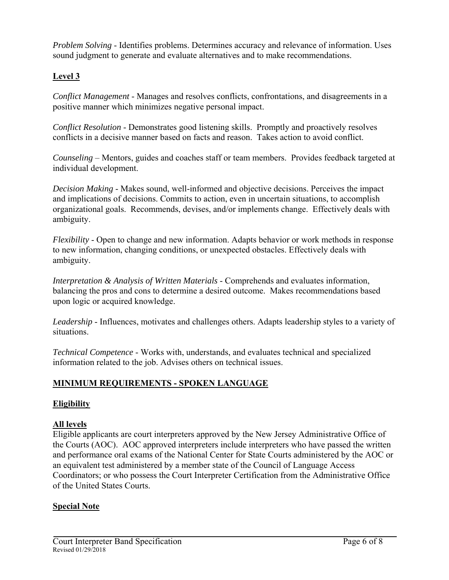*Problem Solving* - Identifies problems. Determines accuracy and relevance of information. Uses sound judgment to generate and evaluate alternatives and to make recommendations.

## **Level 3**

*Conflict Management* - Manages and resolves conflicts, confrontations, and disagreements in a positive manner which minimizes negative personal impact.

*Conflict Resolution* - Demonstrates good listening skills. Promptly and proactively resolves conflicts in a decisive manner based on facts and reason. Takes action to avoid conflict.

*Counseling* – Mentors, guides and coaches staff or team members. Provides feedback targeted at individual development.

*Decision Making* - Makes sound, well-informed and objective decisions. Perceives the impact and implications of decisions. Commits to action, even in uncertain situations, to accomplish organizational goals. Recommends, devises, and/or implements change. Effectively deals with ambiguity.

*Flexibility* - Open to change and new information. Adapts behavior or work methods in response to new information, changing conditions, or unexpected obstacles. Effectively deals with ambiguity.

*Interpretation & Analysis of Written Materials* - Comprehends and evaluates information, balancing the pros and cons to determine a desired outcome. Makes recommendations based upon logic or acquired knowledge.

*Leadership* - Influences, motivates and challenges others. Adapts leadership styles to a variety of situations.

*Technical Competence* - Works with, understands, and evaluates technical and specialized information related to the job. Advises others on technical issues.

## **MINIMUM REQUIREMENTS - SPOKEN LANGUAGE**

## **Eligibility**

### **All levels**

Eligible applicants are court interpreters approved by the New Jersey Administrative Office of the Courts (AOC). AOC approved interpreters include interpreters who have passed the written and performance oral exams of the National Center for State Courts administered by the AOC or an equivalent test administered by a member state of the Council of Language Access Coordinators; or who possess the Court Interpreter Certification from the Administrative Office of the United States Courts.

### **Special Note**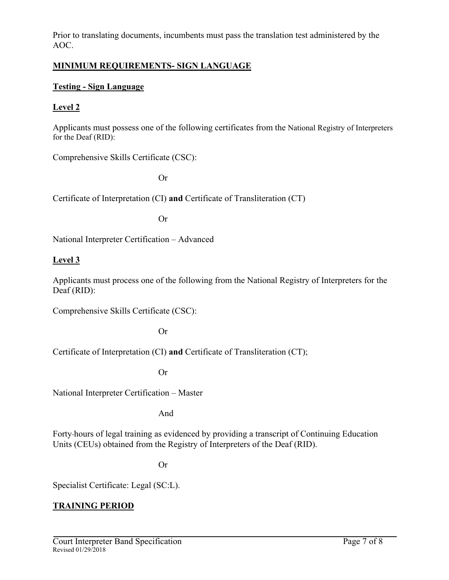Prior to translating documents, incumbents must pass the translation test administered by the AOC.

#### **MINIMUM REQUIREMENTS- SIGN LANGUAGE**

#### **Testing - Sign Language**

### **Level 2**

Applicants must possess one of the following certificates from the National Registry of Interpreters for the Deaf (RID):

Comprehensive Skills Certificate (CSC):

Or

Certificate of Interpretation (CI) **and** Certificate of Transliteration (CT)

Or

National Interpreter Certification – Advanced

#### **Level 3**

Applicants must process one of the following from the National Registry of Interpreters for the Deaf (RID):

Comprehensive Skills Certificate (CSC):

Or

Certificate of Interpretation (CI) **and** Certificate of Transliteration (CT);

Or

National Interpreter Certification – Master

And

Forty hours of legal training as evidenced by providing a transcript of Continuing Education Units (CEUs) obtained from the Registry of Interpreters of the Deaf (RID).

Or

Specialist Certificate: Legal (SC:L).

### **TRAINING PERIOD**